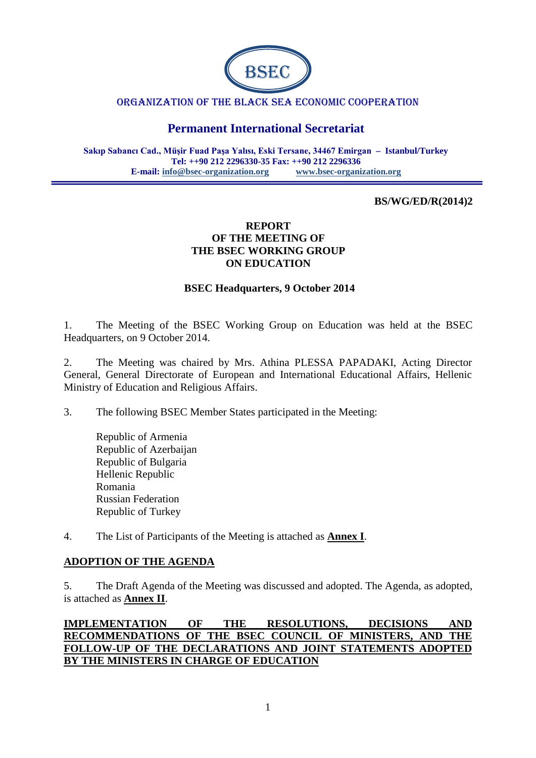

#### ORGANIZATION OF THE BLACK SEA ECONOMIC COOPERATION

# **Permanent International Secretariat**

**Sakıp Sabancı Cad., Müşir Fuad Paşa Yalısı, Eski Tersane, 34467 Emirgan – Istanbul/Turkey Tel: ++90 212 2296330-35 Fax: ++90 212 2296336 E-mail: [info@bsec-organization.org](mailto:info@bsec-organization.org) [www.bsec-organization.org](http://www.bsec-organization.org/)**

#### **BS/WG/ED/R(2014)2**

#### **REPORT OF THE MEETING OF THE BSEC WORKING GROUP ON EDUCATION**

#### **BSEC Headquarters, 9 October 2014**

1. The Meeting of the BSEC Working Group on Education was held at the BSEC Headquarters, on 9 October 2014.

2. The Meeting was chaired by Mrs. Athina PLESSA PAPADAKI, Acting Director General, General Directorate of European and International Educational Affairs, Hellenic Ministry of Education and Religious Affairs.

3. The following BSEC Member States participated in the Meeting:

Republic of Armenia Republic of Azerbaijan Republic of Bulgaria Hellenic Republic Romania Russian Federation Republic of Turkey

4. The List of Participants of the Meeting is attached as **Annex I**.

#### **ADOPTION OF THE AGENDA**

5. The Draft Agenda of the Meeting was discussed and adopted. The Agenda, as adopted, is attached as **Annex II**.

**IMPLEMENTATION OF THE RESOLUTIONS, DECISIONS AND RECOMMENDATIONS OF THE BSEC COUNCIL OF MINISTERS, AND THE FOLLOW-UP OF THE DECLARATIONS AND JOINT STATEMENTS ADOPTED BY THE MINISTERS IN CHARGE OF EDUCATION**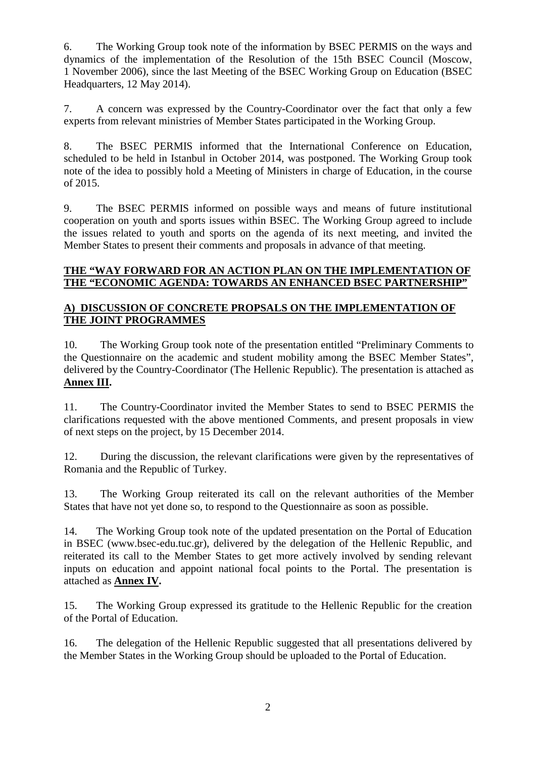6. The Working Group took note of the information by BSEC PERMIS on the ways and dynamics of the implementation of the Resolution of the 15th BSEC Council (Moscow, 1 November 2006), since the last Meeting of the BSEC Working Group on Education (BSEC Headquarters, 12 May 2014).

7. A concern was expressed by the Country-Coordinator over the fact that only a few experts from relevant ministries of Member States participated in the Working Group.

8. The BSEC PERMIS informed that the International Conference on Education, scheduled to be held in Istanbul in October 2014, was postponed. The Working Group took note of the idea to possibly hold a Meeting of Ministers in charge of Education, in the course of 2015.

9. The BSEC PERMIS informed on possible ways and means of future institutional cooperation on youth and sports issues within BSEC. The Working Group agreed to include the issues related to youth and sports on the agenda of its next meeting, and invited the Member States to present their comments and proposals in advance of that meeting.

### **THE "WAY FORWARD FOR AN ACTION PLAN ON THE IMPLEMENTATION OF THE "ECONOMIC AGENDA: TOWARDS AN ENHANCED BSEC PARTNERSHIP"**

### **A) DISCUSSION OF CONCRETE PROPSALS ON THE IMPLEMENTATION OF THE JOINT PROGRAMMES**

10. The Working Group took note of the presentation entitled "Preliminary Comments to the Questionnaire on the academic and student mobility among the BSEC Member States", delivered by the Country-Coordinator (The Hellenic Republic). The presentation is attached as **Annex III.**

11. The Country-Coordinator invited the Member States to send to BSEC PERMIS the clarifications requested with the above mentioned Comments, and present proposals in view of next steps on the project, by 15 December 2014.

12. During the discussion, the relevant clarifications were given by the representatives of Romania and the Republic of Turkey.

13. The Working Group reiterated its call on the relevant authorities of the Member States that have not yet done so, to respond to the Questionnaire as soon as possible.

14. The Working Group took note of the updated presentation on the Portal of Education in BSEC (www.bsec-edu.tuc.gr), delivered by the delegation of the Hellenic Republic, and reiterated its call to the Member States to get more actively involved by sending relevant inputs on education and appoint national focal points to the Portal. The presentation is attached as **Annex IV.**

15. The Working Group expressed its gratitude to the Hellenic Republic for the creation of the Portal of Education.

16. The delegation of the Hellenic Republic suggested that all presentations delivered by the Member States in the Working Group should be uploaded to the Portal of Education.